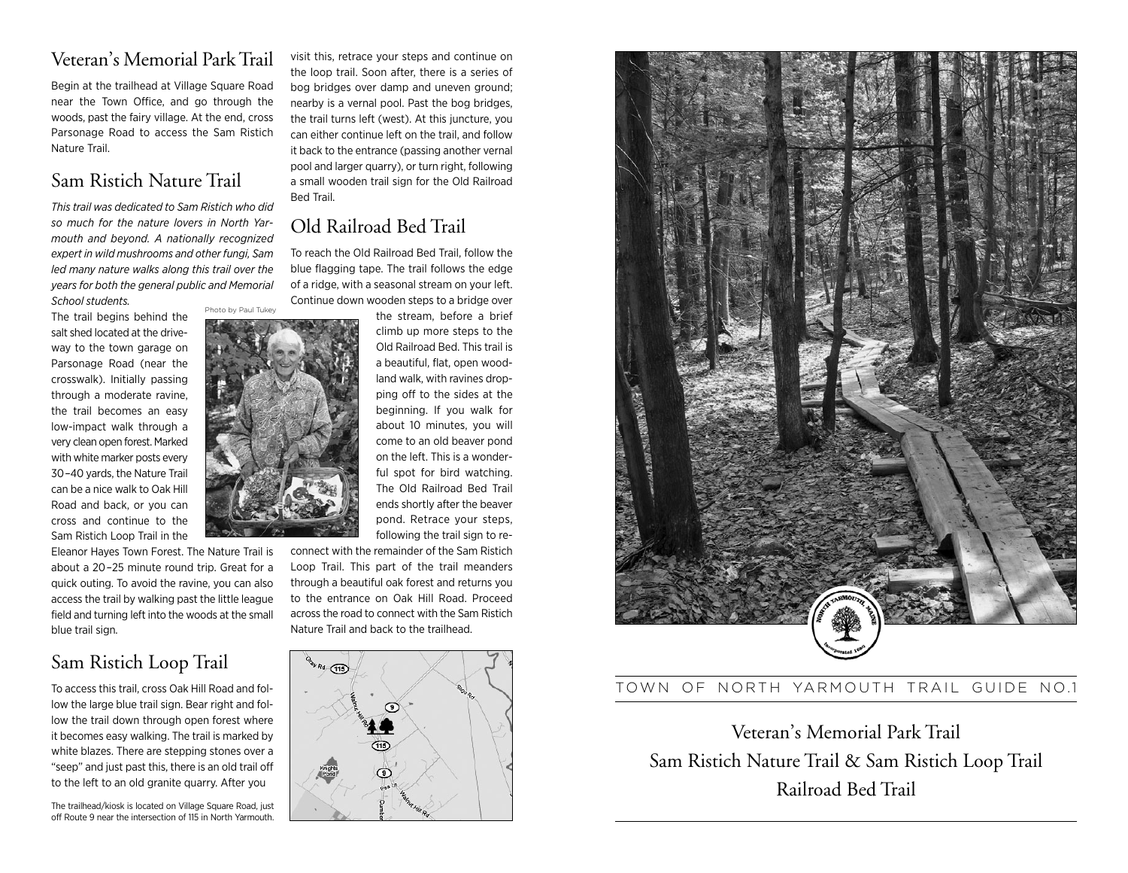## Veteran's Memorial Park Trail

Begin at the trailhead at Village Square Road near the Town Office, and go through the woods, past the fairy village. At the end, cross Parsonage Road to access the Sam Ristich Nature Trail.

## Sam Ristich Nature Trail

*This trail was dedicated to Sam Ristich who did so much for the nature lovers in North Yar mouth and beyond. A nationally recognized expert in wild mush rooms and other fungi, Sam led many nature walks along this trail over the years for both the general public and Memorial School students.* Photo by Paul Tukey

The trail begins behind the salt shed located at the driveway to the town garage on Parsonage Road (near the crosswalk). Initially passing through a moderate ravine, the trail becomes an easy low-impact walk through a very clean open forest. Marked with white marker posts every 30–40 yards, the Nature Trail can be a nice walk to Oak Hill Road and back, or you can cross and continue to the Sam Ristich Loop Trail in the

Eleanor Hayes Town Forest. The Nature Trail is about a 20–25 minute round trip. Great for a quick outing. To avoid the ravine, you can also access the trail by walking past the little league field and turning left into the woods at the small blue trail sign.

### Sam Ristich Loop Trail

To access this trail, cross Oak Hill Road and follow the large blue trail sign. Bear right and follow the trail down through open forest where it becomes easy walking. The trail is marked by white blazes. There are stepping stones over a "seep" and just past this, there is an old trail off to the left to an old granite quarry. After you

The trailhead/kiosk is located on Village Square Road, just off Route 9 near the intersection of 115 in North Yarmouth. visit this, retrace your steps and continue on the loop trail. Soon after, there is a series of bog bridges over damp and uneven ground; nearby is a vernal pool. Past the bog bridges, the trail turns left (west). At this juncture, you can either continue left on the trail, and follow it back to the entrance (passing another vernal pool and larger quarry), or turn right, following a small wooden trail sign for the Old Railroad Bed Trail.

# Old Railroad Bed Trail

To reach the Old Railroad Bed Trail, follow the blue flagging tape. The trail follows the edge of a ridge, with a seasonal stream on your left. Continue down wooden steps to a bridge over

the stream, before a brief climb up more steps to the Old Railroad Bed. This trail is a beautiful, flat, open woodland walk, with ravines dropping off to the sides at the beginning. If you walk for about 10 minutes, you will come to an old beaver pond on the left. This is a wonderful spot for bird watching. The Old Railroad Bed Trail ends shortly after the beaver pond. Retrace your steps, following the trail sign to re-

connect with the remainder of the Sam Ristich Loop Trail. This part of the trail meanders through a beautiful oak forest and returns you to the entrance on Oak Hill Road. Proceed across the road to connect with the Sam Ristich Nature Trail and back to the trailhead.





#### TOWN OF NORTH YARMOUTH TRAIL GUIDE NO.1

Veteran's Memorial Park Trail Sam Ristich Nature Trail & Sam Ristich Loop Trail Railroad Bed Trail